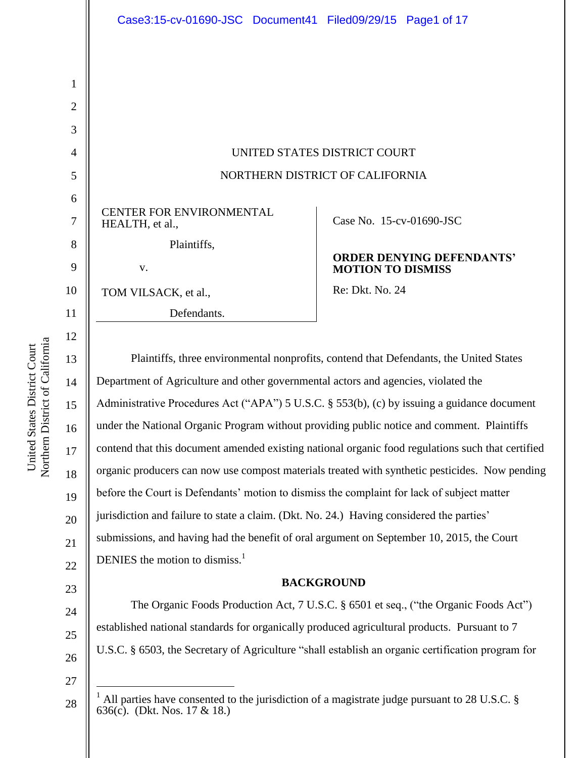|                                                    | UNITED STATES DISTRICT COURT                                 |
|----------------------------------------------------|--------------------------------------------------------------|
|                                                    | NORTHERN DISTRICT OF CALIFORNIA                              |
|                                                    |                                                              |
| <b>CENTER FOR ENVIRONMENTAL</b><br>HEALTH, et al., | Case No. 15-cv-01690-JSC                                     |
| Plaintiffs,                                        |                                                              |
| V.                                                 | <b>ORDER DENYING DEFENDANTS'</b><br><b>MOTION TO DISMISS</b> |
| TOM VILSACK, et al.,                               | Re: Dkt. No. 24                                              |
| Defendants.                                        |                                                              |

14 15 16 17 18 19 20 21 22 three environmental nonprofits, contend that Defendants, the United States Department of Agriculture and other governmental actors and agencies, violated the Administrative Procedures Act ("APA") 5 U.S.C. § 553(b), (c) by issuing a guidance document under the National Organic Program without providing public notice and comment. Plaintiffs contend that this document amended existing national organic food regulations such that certified organic producers can now use compost materials treated with synthetic pesticides. Now pending before the Court is Defendants' motion to dismiss the complaint for lack of subject matter jurisdiction and failure to state a claim. (Dkt. No. 24.) Having considered the parties' submissions, and having had the benefit of oral argument on September 10, 2015, the Court DENIES the motion to dismiss.<sup>1</sup>

## **BACKGROUND**

The Organic Foods Production Act, 7 U.S.C. § 6501 et seq., ("the Organic Foods Act") established national standards for organically produced agricultural products. Pursuant to 7 U.S.C. § 6503, the Secretary of Agriculture "shall establish an organic certification program for

27 28

 $\overline{a}$ 

23

United States District Court Northern District of California

Northern District of California United States District Court

24

25

All parties have consented to the jurisdiction of a magistrate judge pursuant to 28 U.S.C. § 636(c). (Dkt. Nos. 17 & 18.)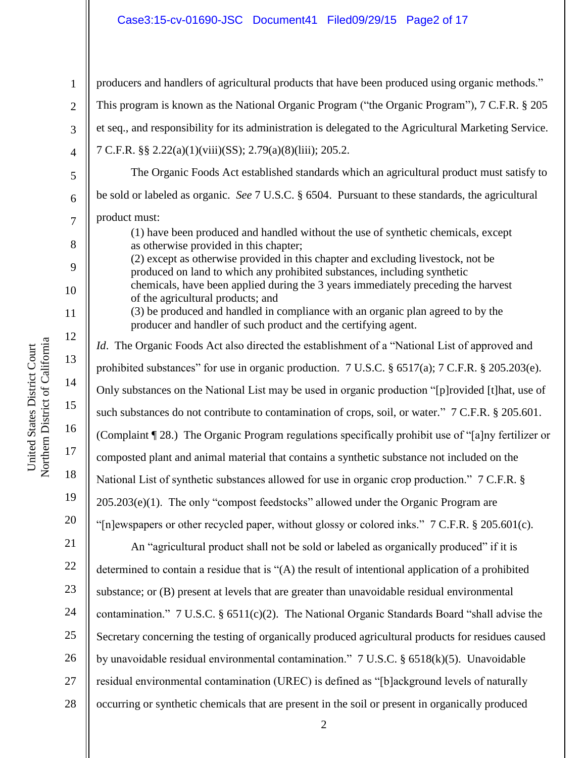## Case3:15-cv-01690-JSC Document41 Filed09/29/15 Page2 of 17

| $\mathbf{1}$   | producers and handlers of agricultural products that have been produced using organic methods."                                                                                        |
|----------------|----------------------------------------------------------------------------------------------------------------------------------------------------------------------------------------|
| $\overline{2}$ | This program is known as the National Organic Program ("the Organic Program"), 7 C.F.R. § 205                                                                                          |
| 3              | et seq., and responsibility for its administration is delegated to the Agricultural Marketing Service.                                                                                 |
| $\overline{4}$ | 7 C.F.R. §§ 2.22(a)(1)(viii)(SS); 2.79(a)(8)(liii); 205.2.                                                                                                                             |
| 5              | The Organic Foods Act established standards which an agricultural product must satisfy to                                                                                              |
| 6              | be sold or labeled as organic. See 7 U.S.C. § 6504. Pursuant to these standards, the agricultural                                                                                      |
| $\overline{7}$ | product must:<br>(1) have been produced and handled without the use of synthetic chemicals, except                                                                                     |
| 8              | as otherwise provided in this chapter;<br>(2) except as otherwise provided in this chapter and excluding livestock, not be                                                             |
| 9<br>10        | produced on land to which any prohibited substances, including synthetic<br>chemicals, have been applied during the 3 years immediately preceding the harvest                          |
| 11             | of the agricultural products; and<br>(3) be produced and handled in compliance with an organic plan agreed to by the<br>producer and handler of such product and the certifying agent. |
| 12             | <i>Id.</i> The Organic Foods Act also directed the establishment of a "National List of approved and                                                                                   |
| 13             | prohibited substances" for use in organic production. 7 U.S.C. § 6517(a); 7 C.F.R. § 205.203(e).                                                                                       |
| 14             | Only substances on the National List may be used in organic production "[p]rovided [t]hat, use of                                                                                      |
| 15             | such substances do not contribute to contamination of crops, soil, or water." 7 C.F.R. § 205.601.                                                                                      |
| 16             | (Complaint ¶ 28.) The Organic Program regulations specifically prohibit use of "[a]ny fertilizer or                                                                                    |
| 17             | composted plant and animal material that contains a synthetic substance not included on the                                                                                            |
| 18             | National List of synthetic substances allowed for use in organic crop production." 7 C.F.R. §                                                                                          |
| 19             | 205.203(e)(1). The only "compost feedstocks" allowed under the Organic Program are                                                                                                     |
| 20             | "[n]ewspapers or other recycled paper, without glossy or colored inks." 7 C.F.R. § 205.601(c).                                                                                         |
| 21             | An "agricultural product shall not be sold or labeled as organically produced" if it is                                                                                                |
| 22             | determined to contain a residue that is "(A) the result of intentional application of a prohibited                                                                                     |
| 23             | substance; or (B) present at levels that are greater than unavoidable residual environmental                                                                                           |
| 24             | contamination." $7 \text{ U.S.C. }$ \$ 6511(c)(2). The National Organic Standards Board "shall advise the                                                                              |
| 25             | Secretary concerning the testing of organically produced agricultural products for residues caused                                                                                     |
| 26             | by unavoidable residual environmental contamination." 7 U.S.C. § 6518(k)(5). Unavoidable                                                                                               |
| 27             | residual environmental contamination (UREC) is defined as "[b]ackground levels of naturally                                                                                            |
| 28             | occurring or synthetic chemicals that are present in the soil or present in organically produced                                                                                       |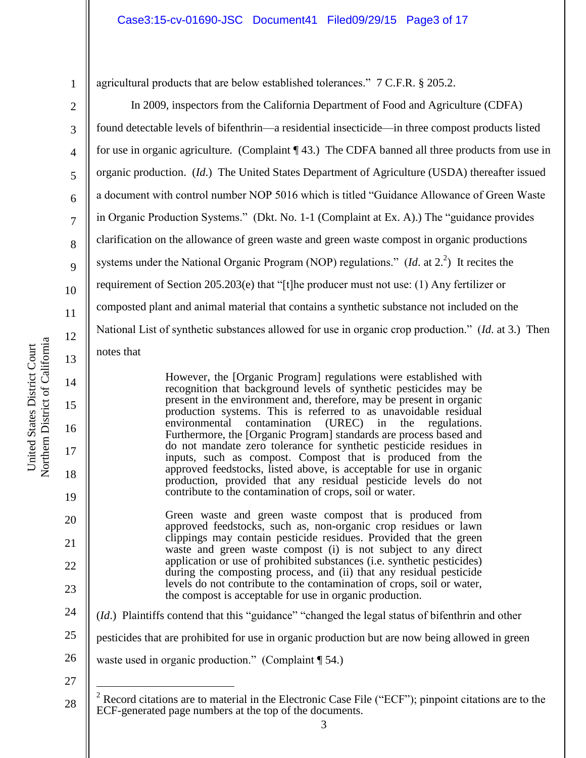agricultural products that are below established tolerances." 7 C.F.R. § 205.2.

In 2009, inspectors from the California Department of Food and Agriculture (CDFA) found detectable levels of bifenthrin—a residential insecticide—in three compost products listed for use in organic agriculture. (Complaint ¶ 43.) The CDFA banned all three products from use in organic production. (*Id*.) The United States Department of Agriculture (USDA) thereafter issued a document with control number NOP 5016 which is titled "Guidance Allowance of Green Waste in Organic Production Systems." (Dkt. No. 1-1 (Complaint at Ex. A).) The "guidance provides clarification on the allowance of green waste and green waste compost in organic productions systems under the National Organic Program (NOP) regulations." (*Id.* at  $2^2$ ) It recites the requirement of Section 205.203(e) that "[t]he producer must not use: (1) Any fertilizer or composted plant and animal material that contains a synthetic substance not included on the National List of synthetic substances allowed for use in organic crop production." (*Id*. at 3.) Then notes that

> However, the [Organic Program] regulations were established with recognition that background levels of synthetic pesticides may be present in the environment and, therefore, may be present in organic production systems. This is referred to as unavoidable residual environmental contamination (UREC) in the regulations. environmental contamination (UREC) in the regulations. Furthermore, the [Organic Program] standards are process based and do not mandate zero tolerance for synthetic pesticide residues in inputs, such as compost. Compost that is produced from the approved feedstocks, listed above, is acceptable for use in organic production, provided that any residual pesticide levels do not contribute to the contamination of crops, soil or water.

Green waste and green waste compost that is produced from approved feedstocks, such as, non-organic crop residues or lawn clippings may contain pesticide residues. Provided that the green waste and green waste compost (i) is not subject to any direct application or use of prohibited substances (i.e. synthetic pesticides) during the composting process, and (ii) that any residual pesticide levels do not contribute to the contamination of crops, soil or water, the compost is acceptable for use in organic production.

(*Id*.) Plaintiffs contend that this "guidance" "changed the legal status of bifenthrin and other

25 pesticides that are prohibited for use in organic production but are now being allowed in green

- 26 waste used in organic production." (Complaint ¶ 54.)
- 27

 $\overline{a}$ 

1

2

3

4

5

6

7

8

9

10

11

12

13

14

15

16

17

18

19

20

21

22

23

<sup>28</sup> <sup>2</sup> Record citations are to material in the Electronic Case File ("ECF"); pinpoint citations are to the ECF-generated page numbers at the top of the documents.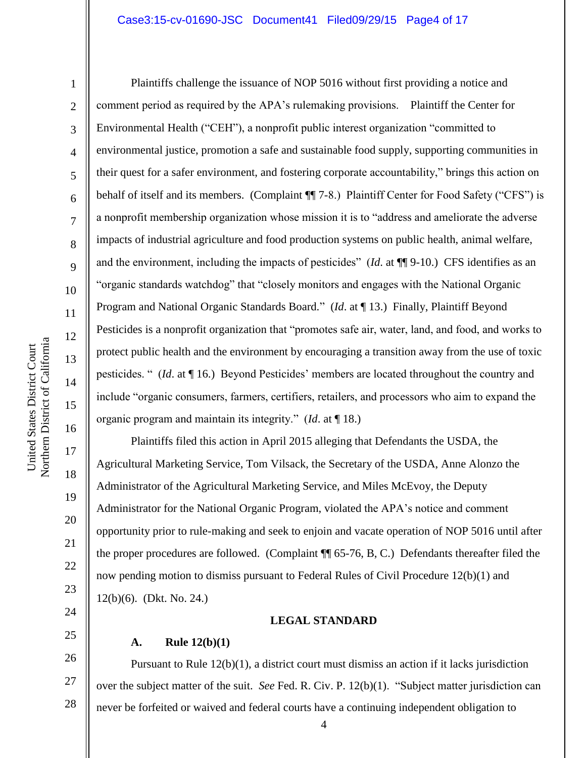### Case3:15-cv-01690-JSC Document41 Filed09/29/15 Page4 of 17

1

2

3

4

5

6

7

8

9

10

11

12

13

14

15

16

17

18

19

20

21

22

23

24

25

Plaintiffs challenge the issuance of NOP 5016 without first providing a notice and comment period as required by the APA's rulemaking provisions. Plaintiff the Center for Environmental Health ("CEH"), a nonprofit public interest organization "committed to environmental justice, promotion a safe and sustainable food supply, supporting communities in their quest for a safer environment, and fostering corporate accountability," brings this action on behalf of itself and its members. (Complaint  $\P$  7-8.) Plaintiff Center for Food Safety ("CFS") is a nonprofit membership organization whose mission it is to "address and ameliorate the adverse impacts of industrial agriculture and food production systems on public health, animal welfare, and the environment, including the impacts of pesticides" (*Id.* at ¶[9-10.) CFS identifies as an "organic standards watchdog" that "closely monitors and engages with the National Organic Program and National Organic Standards Board." (*Id*. at ¶ 13.) Finally, Plaintiff Beyond Pesticides is a nonprofit organization that "promotes safe air, water, land, and food, and works to protect public health and the environment by encouraging a transition away from the use of toxic pesticides. " (*Id*. at ¶ 16.) Beyond Pesticides' members are located throughout the country and include "organic consumers, farmers, certifiers, retailers, and processors who aim to expand the organic program and maintain its integrity." (*Id*. at ¶ 18.)

Plaintiffs filed this action in April 2015 alleging that Defendants the USDA, the Agricultural Marketing Service, Tom Vilsack, the Secretary of the USDA, Anne Alonzo the Administrator of the Agricultural Marketing Service, and Miles McEvoy, the Deputy Administrator for the National Organic Program, violated the APA's notice and comment opportunity prior to rule-making and seek to enjoin and vacate operation of NOP 5016 until after the proper procedures are followed. (Complaint ¶¶ 65-76, B, C.) Defendants thereafter filed the now pending motion to dismiss pursuant to Federal Rules of Civil Procedure 12(b)(1) and 12(b)(6). (Dkt. No. 24.)

### **LEGAL STANDARD**

### **A. Rule 12(b)(1)**

26 27 28 Pursuant to Rule 12(b)(1), a district court must dismiss an action if it lacks jurisdiction over the subject matter of the suit. *See* Fed. R. Civ. P. 12(b)(1). "Subject matter jurisdiction can never be forfeited or waived and federal courts have a continuing independent obligation to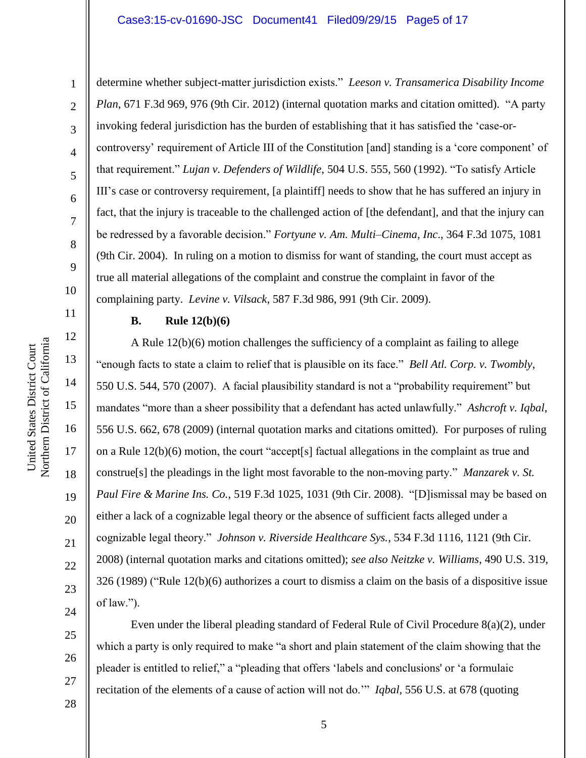### Case3:15-cv-01690-JSC Document41 Filed09/29/15 Page5 of 17

Northern District of California Northern District of California United States District Court United States District Court

1

2

3

4

5

6

7

8

9

10

11

12

13

14

15

16

17

18

19

20

21

22

23

24

determine whether subject-matter jurisdiction exists." *Leeson v. Transamerica Disability Income Plan*, 671 F.3d 969, 976 (9th Cir. 2012) (internal quotation marks and citation omitted). "A party invoking federal jurisdiction has the burden of establishing that it has satisfied the 'case-orcontroversy' requirement of Article III of the Constitution [and] standing is a 'core component' of that requirement." *Lujan v. Defenders of Wildlife*, 504 U.S. 555, 560 (1992). "To satisfy Article III's case or controversy requirement, [a plaintiff] needs to show that he has suffered an injury in fact, that the injury is traceable to the challenged action of [the defendant], and that the injury can be redressed by a favorable decision." *Fortyune v. Am. Multi–Cinema, Inc*., 364 F.3d 1075, 1081 (9th Cir. 2004). In ruling on a motion to dismiss for want of standing, the court must accept as true all material allegations of the complaint and construe the complaint in favor of the complaining party. *Levine v. Vilsack*, 587 F.3d 986, 991 (9th Cir. 2009).

### **B. Rule 12(b)(6)**

A Rule 12(b)(6) motion challenges the sufficiency of a complaint as failing to allege "enough facts to state a claim to relief that is plausible on its face." *Bell Atl. Corp. v. Twombly*, 550 U.S. 544, 570 (2007). A facial plausibility standard is not a "probability requirement" but mandates "more than a sheer possibility that a defendant has acted unlawfully." *Ashcroft v. Iqbal*, 556 U.S. 662, 678 (2009) (internal quotation marks and citations omitted). For purposes of ruling on a Rule 12(b)(6) motion, the court "accept[s] factual allegations in the complaint as true and construe[s] the pleadings in the light most favorable to the non-moving party." *Manzarek v. St. Paul Fire & Marine Ins. Co.*, 519 F.3d 1025, 1031 (9th Cir. 2008). "[D]ismissal may be based on either a lack of a cognizable legal theory or the absence of sufficient facts alleged under a cognizable legal theory." *Johnson v. Riverside Healthcare Sys.*, 534 F.3d 1116, 1121 (9th Cir. 2008) (internal quotation marks and citations omitted); *see also Neitzke v. Williams*, 490 U.S. 319, 326 (1989) ("Rule 12(b)(6) authorizes a court to dismiss a claim on the basis of a dispositive issue of law.").

25 26 27

Even under the liberal pleading standard of Federal Rule of Civil Procedure 8(a)(2), under which a party is only required to make "a short and plain statement of the claim showing that the pleader is entitled to relief," a "pleading that offers 'labels and conclusions' or 'a formulaic recitation of the elements of a cause of action will not do.'" *Iqbal,* 556 U.S. at 678 (quoting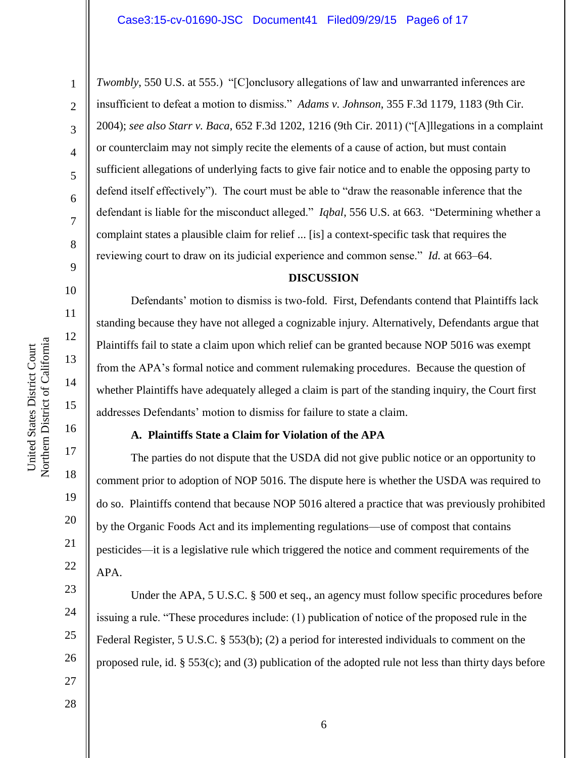1

2

3

4

5

6

7

8

9

10

11

12

13

14

15

16

17

18

19

20

21

22

23

24

25

26

27

*Twombly*, 550 U.S. at 555.) "[C]onclusory allegations of law and unwarranted inferences are insufficient to defeat a motion to dismiss." *Adams v. Johnson*, 355 F.3d 1179, 1183 (9th Cir. 2004); *see also Starr v. Baca*, 652 F.3d 1202, 1216 (9th Cir. 2011) ("[A]llegations in a complaint or counterclaim may not simply recite the elements of a cause of action, but must contain sufficient allegations of underlying facts to give fair notice and to enable the opposing party to defend itself effectively"). The court must be able to "draw the reasonable inference that the defendant is liable for the misconduct alleged." *Iqbal*, 556 U.S. at 663. "Determining whether a complaint states a plausible claim for relief ... [is] a context-specific task that requires the reviewing court to draw on its judicial experience and common sense." *Id.* at 663–64.

### **DISCUSSION**

Defendants' motion to dismiss is two-fold. First, Defendants contend that Plaintiffs lack standing because they have not alleged a cognizable injury. Alternatively, Defendants argue that Plaintiffs fail to state a claim upon which relief can be granted because NOP 5016 was exempt from the APA's formal notice and comment rulemaking procedures. Because the question of whether Plaintiffs have adequately alleged a claim is part of the standing inquiry, the Court first addresses Defendants' motion to dismiss for failure to state a claim.

## **A. Plaintiffs State a Claim for Violation of the APA**

The parties do not dispute that the USDA did not give public notice or an opportunity to comment prior to adoption of NOP 5016. The dispute here is whether the USDA was required to do so. Plaintiffs contend that because NOP 5016 altered a practice that was previously prohibited by the Organic Foods Act and its implementing regulations—use of compost that contains pesticides—it is a legislative rule which triggered the notice and comment requirements of the APA.

Under the APA, 5 U.S.C. § 500 et seq., an agency must follow specific procedures before issuing a rule. "These procedures include: (1) publication of notice of the proposed rule in the Federal Register, 5 U.S.C. § 553(b); (2) a period for interested individuals to comment on the proposed rule, id. § 553(c); and (3) publication of the adopted rule not less than thirty days before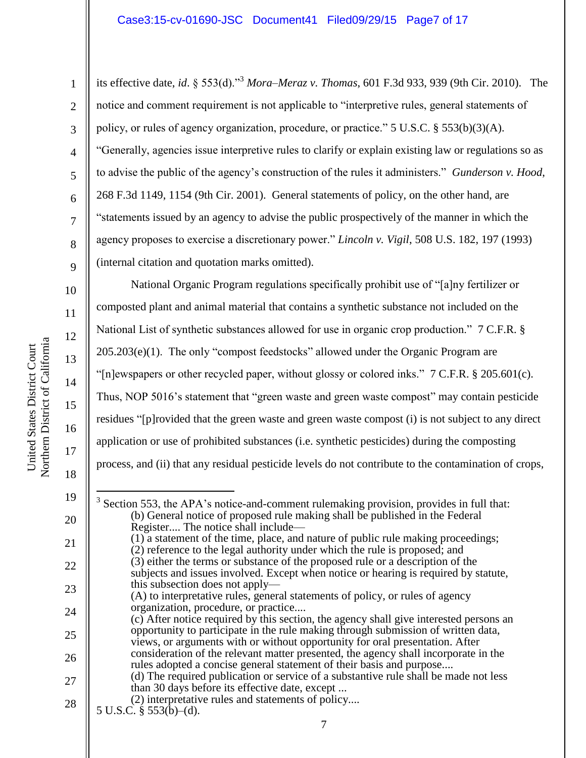its effective date, *id*. § 553(d)."<sup>3</sup> *Mora–Meraz v. Thomas*, 601 F.3d 933, 939 (9th Cir. 2010). The notice and comment requirement is not applicable to "interpretive rules, general statements of policy, or rules of agency organization, procedure, or practice."  $5 \text{ U.S.C.} \$  $553(b)(3)(\text{A})$ . "Generally, agencies issue interpretive rules to clarify or explain existing law or regulations so as to advise the public of the agency's construction of the rules it administers." *Gunderson v. Hood*, 268 F.3d 1149, 1154 (9th Cir. 2001). General statements of policy, on the other hand, are "statements issued by an agency to advise the public prospectively of the manner in which the agency proposes to exercise a discretionary power." *Lincoln v. Vigil*, 508 U.S. 182, 197 (1993) (internal citation and quotation marks omitted).

National Organic Program regulations specifically prohibit use of "[a]ny fertilizer or composted plant and animal material that contains a synthetic substance not included on the National List of synthetic substances allowed for use in organic crop production." 7 C.F.R. § 205.203(e)(1). The only "compost feedstocks" allowed under the Organic Program are "[n]ewspapers or other recycled paper, without glossy or colored inks." 7 C.F.R. § 205.601(c). Thus, NOP 5016's statement that "green waste and green waste compost" may contain pesticide residues "[p]rovided that the green waste and green waste compost (i) is not subject to any direct application or use of prohibited substances (i.e. synthetic pesticides) during the composting process, and (ii) that any residual pesticide levels do not contribute to the contamination of crops,

1

2

3

4

5

6

7

8

9

10

11

12

13

14

15

16

17

<sup>7</sup> 19 20 21 22 23 24 25 26 27 28  $\overline{a}$  $3$  Section 553, the APA's notice-and-comment rulemaking provision, provides in full that: (b) General notice of proposed rule making shall be published in the Federal Register.... The notice shall include— (1) a statement of the time, place, and nature of public rule making proceedings; (2) reference to the legal authority under which the rule is proposed; and (3) either the terms or substance of the proposed rule or a description of the subjects and issues involved. Except when notice or hearing is required by statute, this subsection does not apply— (A) to interpretative rules, general statements of policy, or rules of agency organization, procedure, or practice.... (c) After notice required by this section, the agency shall give interested persons an opportunity to participate in the rule making through submission of written data, views, or arguments with or without opportunity for oral presentation. After consideration of the relevant matter presented, the agency shall incorporate in the rules adopted a concise general statement of their basis and purpose.... (d) The required publication or service of a substantive rule shall be made not less than 30 days before its effective date, except ... (2) interpretative rules and statements of policy.... 5 U.S.C. § 553(b)–(d).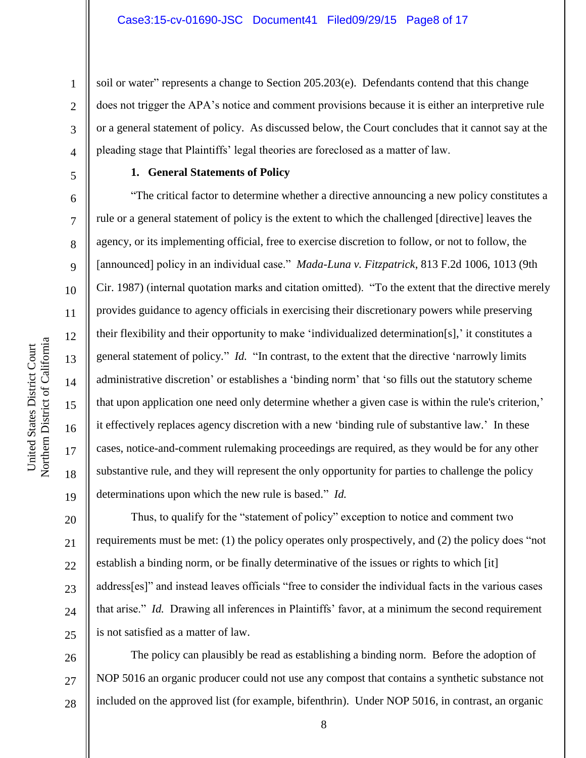soil or water" represents a change to Section 205.203(e). Defendants contend that this change does not trigger the APA's notice and comment provisions because it is either an interpretive rule or a general statement of policy. As discussed below, the Court concludes that it cannot say at the pleading stage that Plaintiffs' legal theories are foreclosed as a matter of law.

# 5 6 7

8

9

10

11

12

13

14

15

16

17

18

19

20

21

22

23

24

25

1

2

3

4

## **1. General Statements of Policy**

"The critical factor to determine whether a directive announcing a new policy constitutes a rule or a general statement of policy is the extent to which the challenged [directive] leaves the agency, or its implementing official, free to exercise discretion to follow, or not to follow, the [announced] policy in an individual case." *Mada-Luna v. Fitzpatrick*, 813 F.2d 1006, 1013 (9th Cir. 1987) (internal quotation marks and citation omitted). "To the extent that the directive merely provides guidance to agency officials in exercising their discretionary powers while preserving their flexibility and their opportunity to make 'individualized determination[s],' it constitutes a general statement of policy." *Id.* "In contrast, to the extent that the directive 'narrowly limits administrative discretion' or establishes a 'binding norm' that 'so fills out the statutory scheme that upon application one need only determine whether a given case is within the rule's criterion,' it effectively replaces agency discretion with a new 'binding rule of substantive law.' In these cases, notice-and-comment rulemaking proceedings are required, as they would be for any other substantive rule, and they will represent the only opportunity for parties to challenge the policy determinations upon which the new rule is based." *Id.*

Thus, to qualify for the "statement of policy" exception to notice and comment two requirements must be met: (1) the policy operates only prospectively, and (2) the policy does "not establish a binding norm, or be finally determinative of the issues or rights to which [it] address[es]" and instead leaves officials "free to consider the individual facts in the various cases that arise." *Id.* Drawing all inferences in Plaintiffs' favor, at a minimum the second requirement is not satisfied as a matter of law.

26 27 28 The policy can plausibly be read as establishing a binding norm. Before the adoption of NOP 5016 an organic producer could not use any compost that contains a synthetic substance not included on the approved list (for example, bifenthrin). Under NOP 5016, in contrast, an organic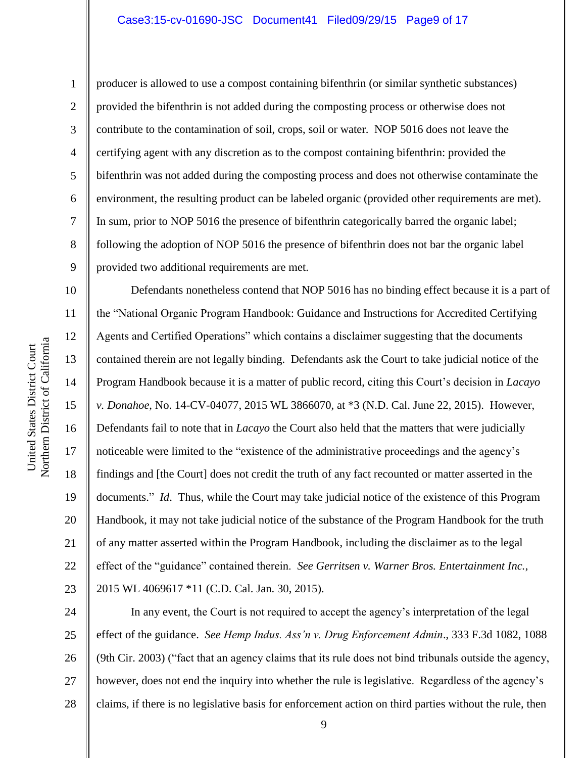### Case3:15-cv-01690-JSC Document41 Filed09/29/15 Page9 of 17

1

2

3

4

5

6

7

8

9

11

12

13

14

15

17

18

19

21

23

producer is allowed to use a compost containing bifenthrin (or similar synthetic substances) provided the bifenthrin is not added during the composting process or otherwise does not contribute to the contamination of soil, crops, soil or water. NOP 5016 does not leave the certifying agent with any discretion as to the compost containing bifenthrin: provided the bifenthrin was not added during the composting process and does not otherwise contaminate the environment, the resulting product can be labeled organic (provided other requirements are met). In sum, prior to NOP 5016 the presence of bifenthrin categorically barred the organic label; following the adoption of NOP 5016 the presence of bifenthrin does not bar the organic label provided two additional requirements are met.

10 16 20 22 Defendants nonetheless contend that NOP 5016 has no binding effect because it is a part of the "National Organic Program Handbook: Guidance and Instructions for Accredited Certifying Agents and Certified Operations" which contains a disclaimer suggesting that the documents contained therein are not legally binding. Defendants ask the Court to take judicial notice of the Program Handbook because it is a matter of public record, citing this Court's decision in *Lacayo v. Donahoe*, No. 14-CV-04077, 2015 WL 3866070, at \*3 (N.D. Cal. June 22, 2015). However, Defendants fail to note that in *Lacayo* the Court also held that the matters that were judicially noticeable were limited to the "existence of the administrative proceedings and the agency's findings and [the Court] does not credit the truth of any fact recounted or matter asserted in the documents." *Id*. Thus, while the Court may take judicial notice of the existence of this Program Handbook, it may not take judicial notice of the substance of the Program Handbook for the truth of any matter asserted within the Program Handbook, including the disclaimer as to the legal effect of the "guidance" contained therein. *See Gerritsen v. Warner Bros. Entertainment Inc.*, 2015 WL 4069617 \*11 (C.D. Cal. Jan. 30, 2015).

24 25 26 27 28 In any event, the Court is not required to accept the agency's interpretation of the legal effect of the guidance. *See Hemp Indus. Ass'n v. Drug Enforcement Admin*., 333 F.3d 1082, 1088 (9th Cir. 2003) ("fact that an agency claims that its rule does not bind tribunals outside the agency, however, does not end the inquiry into whether the rule is legislative. Regardless of the agency's claims, if there is no legislative basis for enforcement action on third parties without the rule, then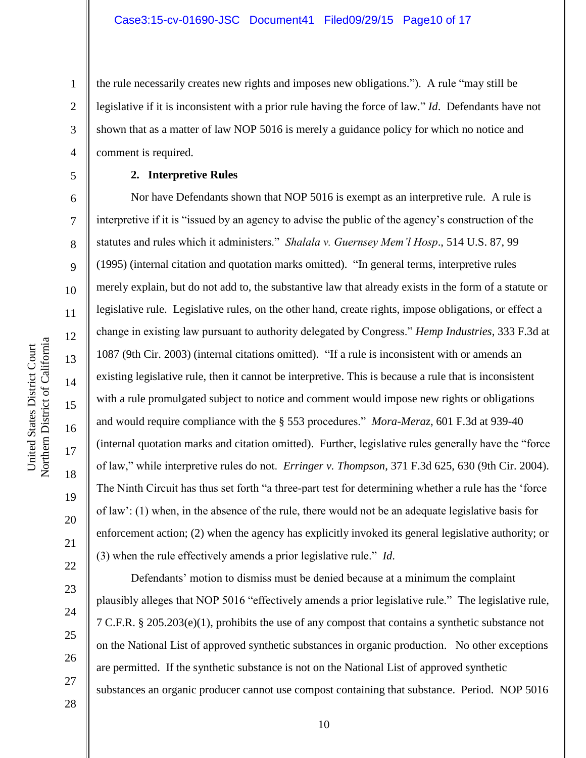the rule necessarily creates new rights and imposes new obligations."). A rule "may still be legislative if it is inconsistent with a prior rule having the force of law." *Id*. Defendants have not shown that as a matter of law NOP 5016 is merely a guidance policy for which no notice and comment is required.

### **2. Interpretive Rules**

Nor have Defendants shown that NOP 5016 is exempt as an interpretive rule. A rule is interpretive if it is "issued by an agency to advise the public of the agency's construction of the statutes and rules which it administers." *Shalala v. Guernsey Mem'l Hosp*., 514 U.S. 87, 99 (1995) (internal citation and quotation marks omitted). "In general terms, interpretive rules merely explain, but do not add to, the substantive law that already exists in the form of a statute or legislative rule. Legislative rules, on the other hand, create rights, impose obligations, or effect a change in existing law pursuant to authority delegated by Congress." *Hemp Industries*, 333 F.3d at 1087 (9th Cir. 2003) (internal citations omitted). "If a rule is inconsistent with or amends an existing legislative rule, then it cannot be interpretive. This is because a rule that is inconsistent with a rule promulgated subject to notice and comment would impose new rights or obligations and would require compliance with the § 553 procedures." *Mora-Meraz*, 601 F.3d at 939-40 (internal quotation marks and citation omitted). Further, legislative rules generally have the "force of law," while interpretive rules do not. *Erringer v. Thompson*, 371 F.3d 625, 630 (9th Cir. 2004). The Ninth Circuit has thus set forth "a three-part test for determining whether a rule has the 'force of law': (1) when, in the absence of the rule, there would not be an adequate legislative basis for enforcement action; (2) when the agency has explicitly invoked its general legislative authority; or (3) when the rule effectively amends a prior legislative rule." *Id*.

Defendants' motion to dismiss must be denied because at a minimum the complaint plausibly alleges that NOP 5016 "effectively amends a prior legislative rule." The legislative rule, 7 C.F.R. § 205.203(e)(1), prohibits the use of any compost that contains a synthetic substance not on the National List of approved synthetic substances in organic production. No other exceptions are permitted. If the synthetic substance is not on the National List of approved synthetic substances an organic producer cannot use compost containing that substance. Period. NOP 5016

Northern District of California Northern District of California United States District Court United States District Court

1

2

3

4

5

6

7

8

9

10

11

12

13

14

15

16

17

18

19

20

21

22

23

24

25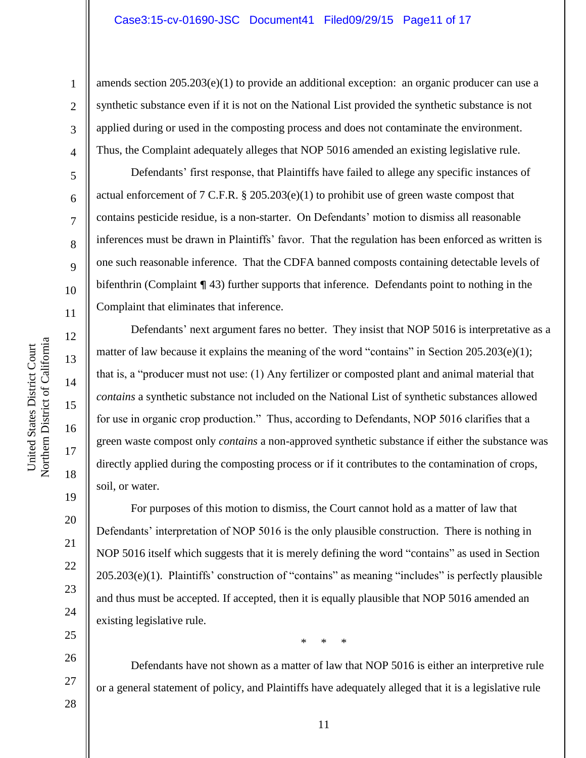amends section  $205.203(e)(1)$  to provide an additional exception: an organic producer can use a synthetic substance even if it is not on the National List provided the synthetic substance is not applied during or used in the composting process and does not contaminate the environment. Thus, the Complaint adequately alleges that NOP 5016 amended an existing legislative rule.

Defendants' first response, that Plaintiffs have failed to allege any specific instances of actual enforcement of 7 C.F.R.  $\S 205.203(e)(1)$  to prohibit use of green waste compost that contains pesticide residue, is a non-starter. On Defendants' motion to dismiss all reasonable inferences must be drawn in Plaintiffs' favor. That the regulation has been enforced as written is one such reasonable inference. That the CDFA banned composts containing detectable levels of bifenthrin (Complaint ¶ 43) further supports that inference. Defendants point to nothing in the Complaint that eliminates that inference.

Defendants' next argument fares no better. They insist that NOP 5016 is interpretative as a matter of law because it explains the meaning of the word "contains" in Section 205.203(e)(1); that is, a "producer must not use: (1) Any fertilizer or composted plant and animal material that *contains* a synthetic substance not included on the National List of synthetic substances allowed for use in organic crop production." Thus, according to Defendants, NOP 5016 clarifies that a green waste compost only *contains* a non-approved synthetic substance if either the substance was directly applied during the composting process or if it contributes to the contamination of crops, soil, or water.

For purposes of this motion to dismiss, the Court cannot hold as a matter of law that Defendants' interpretation of NOP 5016 is the only plausible construction. There is nothing in NOP 5016 itself which suggests that it is merely defining the word "contains" as used in Section 205.203(e)(1). Plaintiffs' construction of "contains" as meaning "includes" is perfectly plausible and thus must be accepted. If accepted, then it is equally plausible that NOP 5016 amended an existing legislative rule.

\* \* \*

Defendants have not shown as a matter of law that NOP 5016 is either an interpretive rule or a general statement of policy, and Plaintiffs have adequately alleged that it is a legislative rule

Northern District of California Northern District of California United States District Court United States District Court

1

2

3

4

5

6

7

8

9

10

11

12

13

14

15

16

17

18

19

27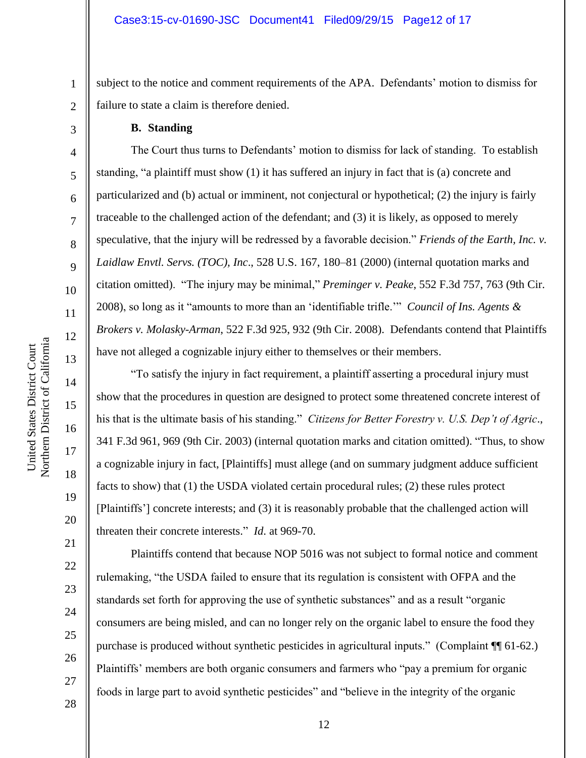subject to the notice and comment requirements of the APA. Defendants' motion to dismiss for failure to state a claim is therefore denied.

### **B. Standing**

1

2

3

4

5

6

7

8

9

10

11

12

13

14

15

16

17

18

19

20

21

22

23

24

25

26

27

28

The Court thus turns to Defendants' motion to dismiss for lack of standing. To establish standing, "a plaintiff must show (1) it has suffered an injury in fact that is (a) concrete and particularized and (b) actual or imminent, not conjectural or hypothetical; (2) the injury is fairly traceable to the challenged action of the defendant; and (3) it is likely, as opposed to merely speculative, that the injury will be redressed by a favorable decision." *Friends of the Earth, Inc. v. Laidlaw Envtl. Servs. (TOC), Inc*., 528 U.S. 167, 180–81 (2000) (internal quotation marks and citation omitted). "The injury may be minimal," *Preminger v. Peake*, 552 F.3d 757, 763 (9th Cir. 2008), so long as it "amounts to more than an 'identifiable trifle.'" *Council of Ins. Agents & Brokers v. Molasky-Arman*, 522 F.3d 925, 932 (9th Cir. 2008). Defendants contend that Plaintiffs have not alleged a cognizable injury either to themselves or their members.

"To satisfy the injury in fact requirement, a plaintiff asserting a procedural injury must show that the procedures in question are designed to protect some threatened concrete interest of his that is the ultimate basis of his standing." *Citizens for Better Forestry v. U.S. Dep't of Agric*., 341 F.3d 961, 969 (9th Cir. 2003) (internal quotation marks and citation omitted). "Thus, to show a cognizable injury in fact, [Plaintiffs] must allege (and on summary judgment adduce sufficient facts to show) that (1) the USDA violated certain procedural rules; (2) these rules protect [Plaintiffs'] concrete interests; and (3) it is reasonably probable that the challenged action will threaten their concrete interests." *Id*. at 969-70.

Plaintiffs contend that because NOP 5016 was not subject to formal notice and comment rulemaking, "the USDA failed to ensure that its regulation is consistent with OFPA and the standards set forth for approving the use of synthetic substances" and as a result "organic consumers are being misled, and can no longer rely on the organic label to ensure the food they purchase is produced without synthetic pesticides in agricultural inputs." (Complaint ¶¶ 61-62.) Plaintiffs' members are both organic consumers and farmers who "pay a premium for organic foods in large part to avoid synthetic pesticides" and "believe in the integrity of the organic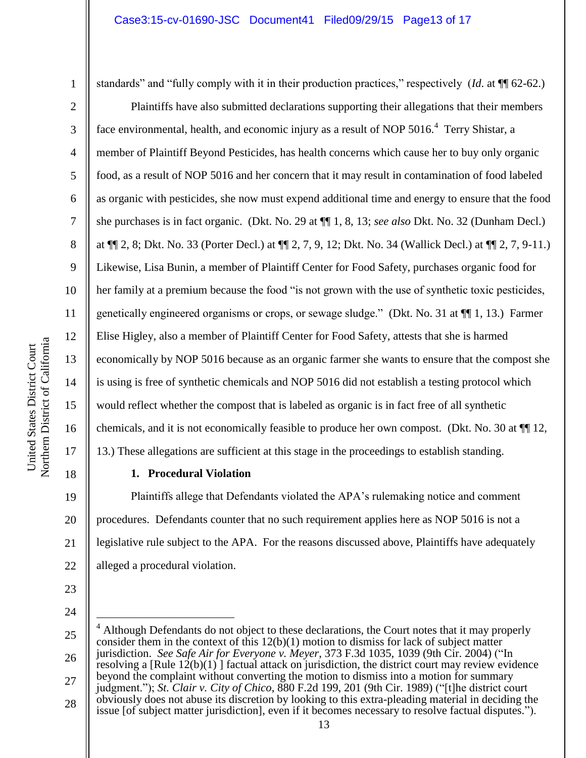1

4

5

6

7

8

9

10

11

12

13

14

15

16

17

18

standards" and "fully comply with it in their production practices," respectively (*Id*. at ¶¶ 62-62.)

Plaintiffs have also submitted declarations supporting their allegations that their members face environmental, health, and economic injury as a result of NOP 5016.<sup>4</sup> Terry Shistar, a member of Plaintiff Beyond Pesticides, has health concerns which cause her to buy only organic food, as a result of NOP 5016 and her concern that it may result in contamination of food labeled as organic with pesticides, she now must expend additional time and energy to ensure that the food she purchases is in fact organic. (Dkt. No. 29 at ¶¶ 1, 8, 13; *see also* Dkt. No. 32 (Dunham Decl.) at ¶¶ 2, 8; Dkt. No. 33 (Porter Decl.) at ¶¶ 2, 7, 9, 12; Dkt. No. 34 (Wallick Decl.) at ¶¶ 2, 7, 9-11.) Likewise, Lisa Bunin, a member of Plaintiff Center for Food Safety, purchases organic food for her family at a premium because the food "is not grown with the use of synthetic toxic pesticides, genetically engineered organisms or crops, or sewage sludge." (Dkt. No. 31 at ¶¶ 1, 13.) Farmer Elise Higley, also a member of Plaintiff Center for Food Safety, attests that she is harmed economically by NOP 5016 because as an organic farmer she wants to ensure that the compost she is using is free of synthetic chemicals and NOP 5016 did not establish a testing protocol which would reflect whether the compost that is labeled as organic is in fact free of all synthetic chemicals, and it is not economically feasible to produce her own compost. (Dkt. No. 30 at ¶¶ 12, 13.) These allegations are sufficient at this stage in the proceedings to establish standing.

**1. Procedural Violation**

19 20 21 22 Plaintiffs allege that Defendants violated the APA's rulemaking notice and comment procedures. Defendants counter that no such requirement applies here as NOP 5016 is not a legislative rule subject to the APA. For the reasons discussed above, Plaintiffs have adequately alleged a procedural violation.

23 24

 $\overline{a}$ 

<sup>25</sup> 26 27 28  $4$  Although Defendants do not object to these declarations, the Court notes that it may properly consider them in the context of this 12(b)(1) motion to dismiss for lack of subject matter jurisdiction. *See Safe Air for Everyone v. Meyer*, 373 F.3d 1035, 1039 (9th Cir. 2004) ("In resolving a  $[Rule 12(b)(1)]$  factual attack on jurisdiction, the district court may review evidence beyond the complaint without converting the motion to dismiss into a motion for summary judgment."); *St. Clair v. City of Chico*, 880 F.2d 199, 201 (9th Cir. 1989) ("[t]he district court obviously does not abuse its discretion by looking to this extra-pleading material in deciding the issue [of subject matter jurisdiction], even if it becomes necessary to resolve factual disputes.").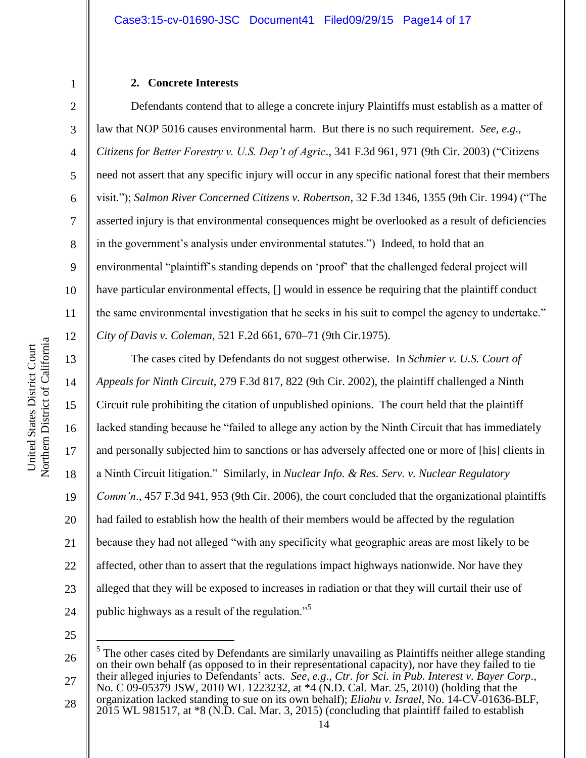## **2. Concrete Interests**

Defendants contend that to allege a concrete injury Plaintiffs must establish as a matter of law that NOP 5016 causes environmental harm. But there is no such requirement. *See*, *e.g*., *Citizens for Better Forestry v. U.S. Dep't of Agric*., 341 F.3d 961, 971 (9th Cir. 2003) ("Citizens need not assert that any specific injury will occur in any specific national forest that their members visit."); *Salmon River Concerned Citizens v. Robertson*, 32 F.3d 1346, 1355 (9th Cir. 1994) ("The asserted injury is that environmental consequences might be overlooked as a result of deficiencies in the government's analysis under environmental statutes.") Indeed, to hold that an environmental "plaintiff's standing depends on 'proof' that the challenged federal project will have particular environmental effects,  $\lceil \cdot \rceil$  would in essence be requiring that the plaintiff conduct the same environmental investigation that he seeks in his suit to compel the agency to undertake." *City of Davis v. Coleman*, 521 F.2d 661, 670–71 (9th Cir.1975).

The cases cited by Defendants do not suggest otherwise. In *Schmier v. U.S. Court of Appeals for Ninth Circuit*, 279 F.3d 817, 822 (9th Cir. 2002), the plaintiff challenged a Ninth Circuit rule prohibiting the citation of unpublished opinions. The court held that the plaintiff lacked standing because he "failed to allege any action by the Ninth Circuit that has immediately and personally subjected him to sanctions or has adversely affected one or more of [his] clients in a Ninth Circuit litigation." Similarly, in *Nuclear Info. & Res. Serv. v. Nuclear Regulatory Comm'n*., 457 F.3d 941, 953 (9th Cir. 2006), the court concluded that the organizational plaintiffs had failed to establish how the health of their members would be affected by the regulation because they had not alleged "with any specificity what geographic areas are most likely to be affected, other than to assert that the regulations impact highways nationwide. Nor have they alleged that they will be exposed to increases in radiation or that they will curtail their use of public highways as a result of the regulation."<sup>5</sup>

25

 $\overline{a}$ 

1

2

3

4

5

6

7

8

9

10

11

12

13

14

15

16

17

18

19

20

21

22

23

<sup>26</sup> 27  $<sup>5</sup>$  The other cases cited by Defendants are similarly unavailing as Plaintiffs neither allege standing</sup> on their own behalf (as opposed to in their representational capacity), nor have they failed to tie their alleged injuries to Defendants' acts. *See, e.g*., *Ctr. for Sci. in Pub. Interest v. Bayer Corp*., No. C 09-05379 JSW, 2010 WL 1223232, at \*4 (N.D. Cal. Mar. 25, 2010) (holding that the organization lacked standing to sue on its own behalf); *Eliahu v. Israel*, No. 14-CV-01636-BLF,

<sup>28</sup> 2015 WL 981517, at \*8 (N.D. Cal. Mar. 3, 2015) (concluding that plaintiff failed to establish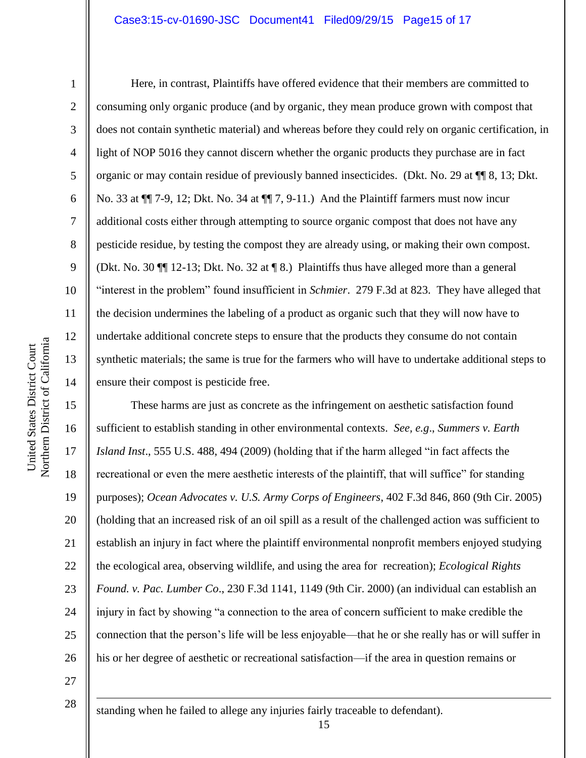### Case3:15-cv-01690-JSC Document41 Filed09/29/15 Page15 of 17

1

2

3

4

5

6

7

8

9

10

11

12

13

14

Here, in contrast, Plaintiffs have offered evidence that their members are committed to consuming only organic produce (and by organic, they mean produce grown with compost that does not contain synthetic material) and whereas before they could rely on organic certification, in light of NOP 5016 they cannot discern whether the organic products they purchase are in fact organic or may contain residue of previously banned insecticides. (Dkt. No. 29 at ¶¶ 8, 13; Dkt. No. 33 at ¶¶ 7-9, 12; Dkt. No. 34 at ¶¶ 7, 9-11.) And the Plaintiff farmers must now incur additional costs either through attempting to source organic compost that does not have any pesticide residue, by testing the compost they are already using, or making their own compost. (Dkt. No. 30 ¶¶ 12-13; Dkt. No. 32 at ¶ 8.) Plaintiffs thus have alleged more than a general "interest in the problem" found insufficient in *Schmier*. 279 F.3d at 823. They have alleged that the decision undermines the labeling of a product as organic such that they will now have to undertake additional concrete steps to ensure that the products they consume do not contain synthetic materials; the same is true for the farmers who will have to undertake additional steps to ensure their compost is pesticide free.

15 16 17 18 19 20 21 22 23 24 25 26 These harms are just as concrete as the infringement on aesthetic satisfaction found sufficient to establish standing in other environmental contexts. *See, e.g*., *Summers v. Earth Island Inst*., 555 U.S. 488, 494 (2009) (holding that if the harm alleged "in fact affects the recreational or even the mere aesthetic interests of the plaintiff, that will suffice" for standing purposes); *Ocean Advocates v. U.S. Army Corps of Engineers*, 402 F.3d 846, 860 (9th Cir. 2005) (holding that an increased risk of an oil spill as a result of the challenged action was sufficient to establish an injury in fact where the plaintiff environmental nonprofit members enjoyed studying the ecological area, observing wildlife, and using the area for recreation); *Ecological Rights Found. v. Pac. Lumber Co*., 230 F.3d 1141, 1149 (9th Cir. 2000) (an individual can establish an injury in fact by showing "a connection to the area of concern sufficient to make credible the connection that the person's life will be less enjoyable—that he or she really has or will suffer in his or her degree of aesthetic or recreational satisfaction—if the area in question remains or

27

28

1

standing when he failed to allege any injuries fairly traceable to defendant).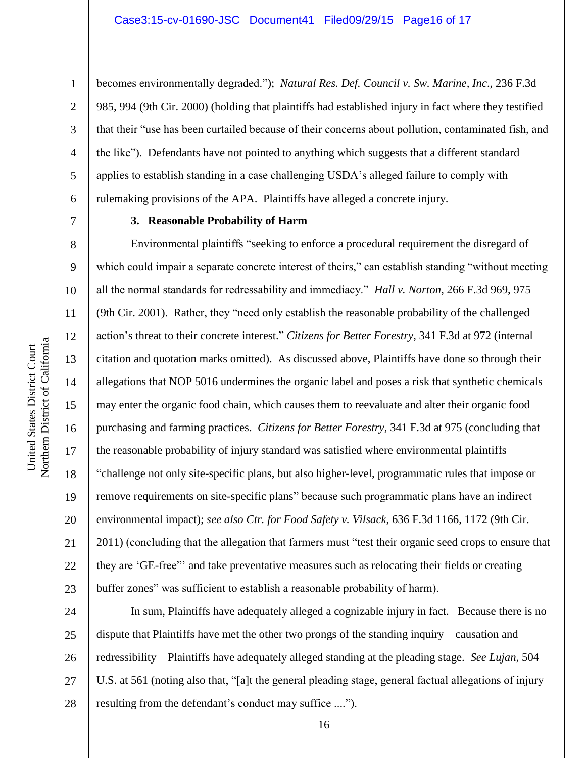becomes environmentally degraded."); *Natural Res. Def. Council v. Sw. Marine, Inc*., 236 F.3d 985, 994 (9th Cir. 2000) (holding that plaintiffs had established injury in fact where they testified that their "use has been curtailed because of their concerns about pollution, contaminated fish, and the like"). Defendants have not pointed to anything which suggests that a different standard applies to establish standing in a case challenging USDA's alleged failure to comply with rulemaking provisions of the APA. Plaintiffs have alleged a concrete injury.

7

1

2

3

4

5

6

8

9

10

11

12

13

14

15

16

17

18

19

20

21

22

23

## **3. Reasonable Probability of Harm**

Environmental plaintiffs "seeking to enforce a procedural requirement the disregard of which could impair a separate concrete interest of theirs," can establish standing "without meeting all the normal standards for redressability and immediacy." *Hall v. Norton*, 266 F.3d 969, 975 (9th Cir. 2001). Rather, they "need only establish the reasonable probability of the challenged action's threat to their concrete interest." *Citizens for Better Forestry*, 341 F.3d at 972 (internal citation and quotation marks omitted). As discussed above, Plaintiffs have done so through their allegations that NOP 5016 undermines the organic label and poses a risk that synthetic chemicals may enter the organic food chain, which causes them to reevaluate and alter their organic food purchasing and farming practices. *Citizens for Better Forestry*, 341 F.3d at 975 (concluding that the reasonable probability of injury standard was satisfied where environmental plaintiffs "challenge not only site-specific plans, but also higher-level, programmatic rules that impose or remove requirements on site-specific plans" because such programmatic plans have an indirect environmental impact); *see also Ctr. for Food Safety v. Vilsack*, 636 F.3d 1166, 1172 (9th Cir. 2011) (concluding that the allegation that farmers must "test their organic seed crops to ensure that they are 'GE-free"' and take preventative measures such as relocating their fields or creating buffer zones" was sufficient to establish a reasonable probability of harm).

24 25 26 27 28 In sum, Plaintiffs have adequately alleged a cognizable injury in fact. Because there is no dispute that Plaintiffs have met the other two prongs of the standing inquiry—causation and redressibility—Plaintiffs have adequately alleged standing at the pleading stage. *See Lujan*, 504 U.S. at 561 (noting also that, "[a]t the general pleading stage, general factual allegations of injury resulting from the defendant's conduct may suffice ....").